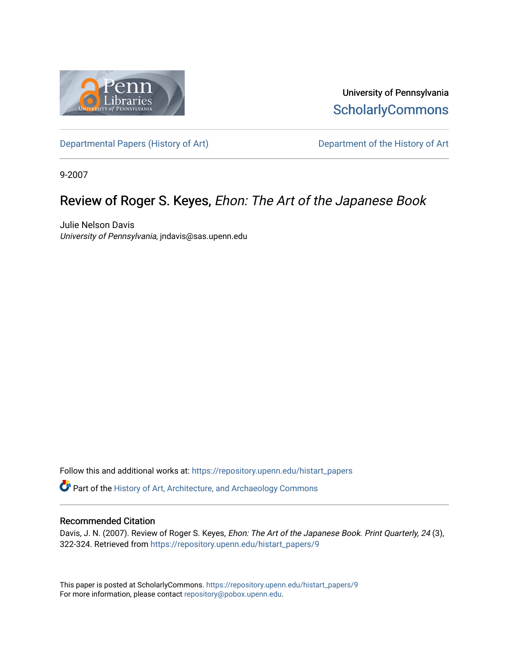

University of Pennsylvania **ScholarlyCommons** 

[Departmental Papers \(History of Art\)](https://repository.upenn.edu/histart_papers) Department of the History of Art

9-2007

# Review of Roger S. Keyes, Ehon: The Art of the Japanese Book

Julie Nelson Davis University of Pennsylvania, jndavis@sas.upenn.edu

Follow this and additional works at: [https://repository.upenn.edu/histart\\_papers](https://repository.upenn.edu/histart_papers?utm_source=repository.upenn.edu%2Fhistart_papers%2F9&utm_medium=PDF&utm_campaign=PDFCoverPages)

Part of the [History of Art, Architecture, and Archaeology Commons](http://network.bepress.com/hgg/discipline/510?utm_source=repository.upenn.edu%2Fhistart_papers%2F9&utm_medium=PDF&utm_campaign=PDFCoverPages) 

#### Recommended Citation

Davis, J. N. (2007). Review of Roger S. Keyes, Ehon: The Art of the Japanese Book. Print Quarterly, 24 (3), 322-324. Retrieved from [https://repository.upenn.edu/histart\\_papers/9](https://repository.upenn.edu/histart_papers/9?utm_source=repository.upenn.edu%2Fhistart_papers%2F9&utm_medium=PDF&utm_campaign=PDFCoverPages)

This paper is posted at ScholarlyCommons. [https://repository.upenn.edu/histart\\_papers/9](https://repository.upenn.edu/histart_papers/9)  For more information, please contact [repository@pobox.upenn.edu.](mailto:repository@pobox.upenn.edu)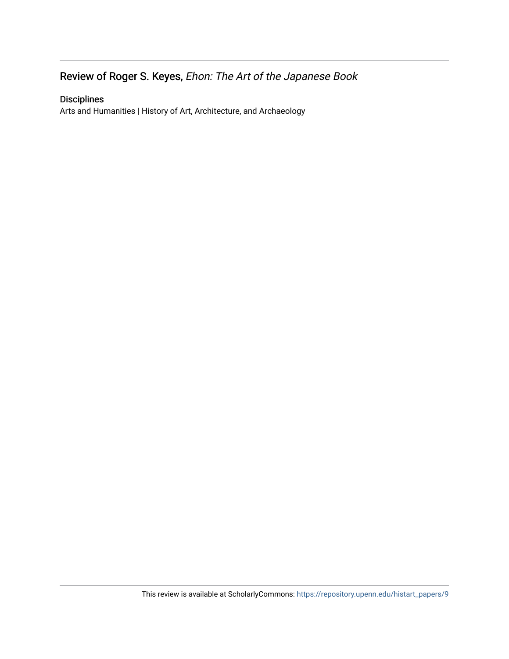## Review of Roger S. Keyes, Ehon: The Art of the Japanese Book

## Disciplines

Arts and Humanities | History of Art, Architecture, and Archaeology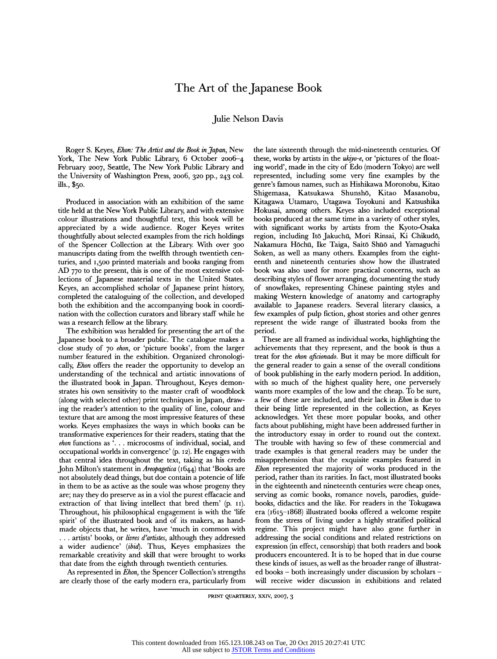### The Art of the Japanese Book

#### Julie Nelson Davis

Roger S. Keyes, Ehon: The Artist and the Book in Japan, New York, The New York Public Library, 6 October 2006-4 February 2007, Seattle, The New York Public Library and the University of Washington Press, 2006, 320 pp., 243 col. ills., \$50.

Produced in association with an exhibition of the same title held at the New York Public Library, and with extensive colour illustrations and thoughtful text, this book will be appreciated by a wide audience. Roger Keyes writes thoughtfully about selected examples from the rich holdings of the Spencer Collection at the Library. With over 300 manuscripts dating from the twelfth through twentieth centuries, and 1,500 printed materials and books ranging from AD 770 to the present, this is one of the most extensive collections of Japanese material texts in the United States. Keyes, an accomplished scholar of Japanese print history, completed the cataloguing of the collection, and developed both the exhibition and the accompanying book in coordination with the collection curators and library staff while he was a research fellow at the library.

The exhibition was heralded for presenting the art of the Japanese book to a broader public. The catalogue makes a close study of 70 ehon, or 'picture books', from the larger number featured in the exhibition. Organized chronologically, Ehon offers the reader the opportunity to develop an understanding of the technical and artistic innovations of the illustrated book in Japan. Throughout, Keyes demonstrates his own sensitivity to the master craft of woodblock (along with selected other) print techniques in Japan, drawing the reader's attention to the quality of line, colour and texture that are among the most impressive features of these works. Keyes emphasizes the ways in which books can be transformative experiences for their readers, stating that the  $ehon$  functions as  $\ldots$  microcosms of individual, social, and occupational worlds in convergence' (p. 12). He engages with that central idea throughout the text, taking as his credo John Milton's statement in Areopagetica (1644) that 'Books are not absolutely dead things, but doe contain a potencie of life in them to be as active as the soule was whose progeny they are; nay they do preserve as in a viol the purest effacacie and extraction of that living intellect that bred them' (p. 11). Throughout, his philosophical engagement is with the 'life spirit' of the illustrated book and of its makers, as handmade objects that, he writes, have 'much in common with ... artists' books, or *livres d'artistes*, although they addressed a wider audience' (ibid). Thus, Keyes emphasizes the remarkable creativity and skill that were brought to works that date from the eighth through twentieth centuries.

As represented in Ehon, the Spencer Collection's strengths are clearly those of the early modern era, particularly from

the late sixteenth through the mid-nineteenth centuries. Of these, works by artists in the *ukiyo-e*, or 'pictures of the floating world', made in the city of Edo (modern Tokyo) are well represented, including some very fine examples by the genre's famous names, such as Hishikawa Moronobu, Kitao Shigemasa, Katsukawa Shunshõ, Kitao Masanobu, Kitagawa Utamaro, Utagawa Toyokuni and Katsushika Hokusai, among others. Keyes also included exceptional books produced at the same time in a variety of other styles, with significant works by artists from the Kyoto-Osaka region, including Itõ Jakuchü, Mori Rinsai, Ki Chikudõ, Nakamura Höchü, Ike Taiga, Saitõ Shüö and Yamaguchi Soken, as well as many others. Examples from the eighteenth and nineteenth centuries show how the illustrated book was also used for more practical concerns, such as describing styles of flower arranging, documenting the study of snowflakes, representing Chinese painting styles and making Western knowledge of anatomy and cartography available to Japanese readers. Several literary classics, a few examples of pulp fiction, ghost stories and other genres represent the wide range of illustrated books from the period.

These are all framed as individual works, highlighting the achievements that they represent, and the book is thus a treat for the ehon aficionado. But it may be more difficult for the general reader to gain a sense of the overall conditions of book publishing in the early modern period. In addition, with so much of the highest quality here, one perversely wants more examples of the low and the cheap. To be sure, a few of these are included, and their lack in Ehon is due to their being little represented in the collection, as Keyes acknowledges. Yet these more popular books, and other facts about publishing, might have been addressed further in the introductory essay in order to round out the context. The trouble with having so few of these commercial and trade examples is that general readers may be under the misapprehension that the exquisite examples featured in Ehon represented the majority of works produced in the period, rather than its rarities. In fact, most illustrated books in the eighteenth and nineteenth centuries were cheap ones, serving as comic books, romance novels, parodies, guidebooks, didactics and the like. For readers in the Tokugawa era (1615-1868) illustrated books offered a welcome respite from the stress of living under a highly stratified political regime. This project might have also gone further in addressing the social conditions and related restrictions on expression (in effect, censorship) that both readers and book producers encountered. It is to be hoped that in due course these kinds of issues, as well as the broader range of illustrated books - both increasingly under discussion by scholars will receive wider discussion in exhibitions and related

PRINT QUARTERLY, XXIV, 2OO7, 3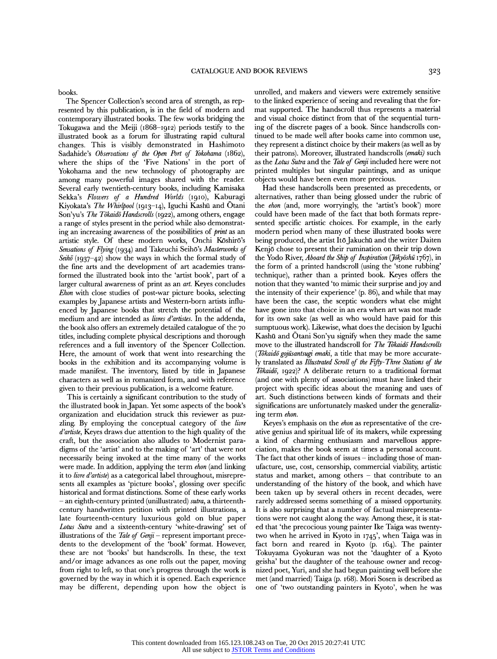books.

The Spencer Collection's second area of strength, as represented by this publication, is in the field of modern and contemporary illustrated books. The few works bridging the Tokugawa and the Meiji (1868-1912) periods testify to the illustrated book as a forum for illustrating rapid cultural changes. This is visibly demonstrated in Hashimoto Sadahide's Observations of the Open Port of Yokohama (1862), where the ships of the 'Five Nations' in the port of Yokohama and the new technology of photography are among many powerful images shared with the reader. Several early twentieth-century books, including Kamisaka Sekka's Flowers of a Hundred Worlds (1910), Kaburagi Kiyokata's The Whirlpool (1913-14), Iguchi Kashü and Õtani Son'yu's The Tõkaidõ Handscrolls (1922), among others, engage a range of styles present in the period while also demonstrating an increasing awareness of the possibilities of print as an artistic style. Of these modern works, Onchi Köshirö's Sensations of Flying (1934) and Takeuchi Seihō's Masterworks of Seihō (1937-42) show the ways in which the formal study of the fine arts and the development of art academies transformed the illustrated book into the 'artist book', part of a larger cultural awareness of print as an *art*. Keyes concludes Ehon with close studies of post-war picture books, selecting examples by Japanese artists and Western-born atists influenced by Japanese books that stretch the potential of the medium and are intended as livres d'artistes. In the addenda, the book also offers an extremely detailed catalogue of the 70 tides, including complete physical descriptions and thorough references and a full inventory of the Spencer Collection. Here, the amount of work that went into researching the books in the exhibition and its accompanying volume is made manifest. The inventory, listed by title in Japanese characters as well as in romanized form, and with reference given to their previous publication, is a welcome feature.

This is certainly a significant contribution to the study of the illustrated book in Japan. Yet some aspects of the book's organization and elucidation struck this reviewer as puzzling. By employing the conceptual category of the livre d'artiste, Keyes draws due attention to the high quality of the craft, but the association also alludes to Modernist paradigms of the 'artist' and to the making of 'art' that were not necessarily being invoked at the time many of the works were made. In addition, applying the term ehon (and linking it to livre d'artiste) as a categorical label throughout, misrepresents all examples as 'picture books', glossing over specific historical and format distinctions. Some of these early works - an eighth-century printed (unillustrated) *sutra*, a thirteenthcentury handwritten petition with printed illustrations, a late fourteenth-century luxurious gold on blue paper Lotus Sutra and a sixteenth-century 'white-drawing' set of illustrations of the Tale of Genji - represent important precedents to the development of the 'book' format. However, these are not 'books' but handscrolls. In these, the text and/or image advances as one rolls out the paper, moving from right to left, so that one's progress through the work is governed by the way in which it is opened. Each experience may be different, depending upon how the object is unrolled, and makers and viewers were extremely sensitive to the linked experience of seeing and revealing that the format supported. The handscroll thus represents a material and visual choice distinct from that of the sequential turning of the discrete pages of a book. Since handscrolls continued to be made well after books came into common use, they represent a distinct choice by their makers (as well as by their patrons). Moreover, illustrated handscrolls (emaki) such as the Lotus Sutra and the Tale of Genji included here were not printed multiples but singular paintings, and as unique objects would have been even more precious.

Had these handscrolls been presented as precedents, or alternatives, rather than being glossed under the rubric of the ehon (and, more worryingly, the 'artist's book') more could have been made of the fact that both formats represented specific artistic choices. For example, in the early modern period when many of these illustrated books were being produced, the artist Itõ Jakuchü and the writer Daiten Kenjō chose to present their rumination on their trip down the Yodo River, *Aboard the Ship of Inspiration* (*Jokyoshu* 1767), in the form of a printed handscroll (using the 'stone rubbing' technique), rather than a printed book. Keyes offers the notion that they wanted 'to mimic their surprise and joy and the intensity of their experience' (p. 86), and while that may have been the case, the sceptic wonders what else might have gone into that choice in an era when art was not made for its own sake (as well as who would have paid for this sumptuous work). Likewise, what does the decision by Iguchi Kashü and Õtani Son'yu signify when they made the same move to the illustrated handscroll for The Tokaido Handscrolls (Tōkaidō gojūsantsugi emaki, a title that may be more accurately translated as Illustrated Scroll of the Fifty-Three Stations of the Tōkaidō, 1922)? A deliberate return to a traditional format (and one with plenty of associations) must have linked their project with specific ideas about the meaning and uses of art. Such distinctions between kinds of formats and their significations are unfortunately masked under the generalizing term ehon.

Keyes's emphasis on the *ehon* as representative of the creative genius and spiritual life of its makers, while expressing a kind of charming enthusiasm and marvellous appreciation, makes the book seem at times a personal account. The fact that other kinds of issues - including those of manufacture, use, cost, censorship, commercial viability, artistic status and market, among others  $-$  that contribute to an understanding of the history of the book, and which have been taken up by several others in recent decades, were rarely addressed seems something of a missed opportunity. It is also surprising that a number of factual misrepresentations were not caught along the way. Among these, it is stated that 'the precocious young painter Ike Taiga was twentytwo when he arrived in Kyoto in 1745', when Taiga was in fact born and reared in Kyoto (p. 164). The painter Tokuyama Gyokuran was not the 'daughter of a Kyoto geisha' but the daughter of the teahouse owner and recognized poet, Yuri, and she had begun painting well before she met (and married) Taiga (p. 168). Mori Sosen is described as one of 'two outstanding painters in Kyoto', when he was